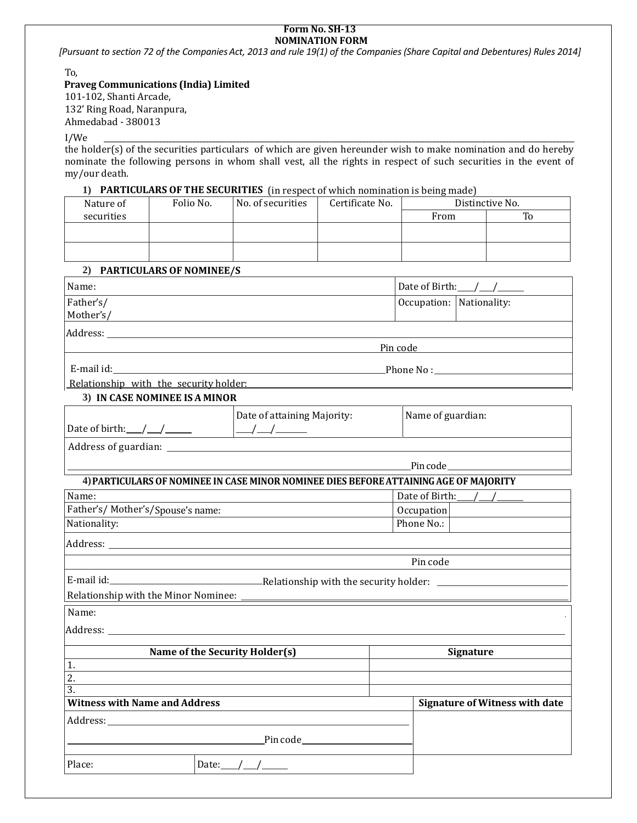#### **Form No. SH-13 NOMINATION FORM**

[Pursuant to section 72 of the Companies Act, 2013 and rule 19(1) of the Companies (Share Capital and Debentures) Rules 2014]

To,

## **Praveg Communications (India) Limited**

101-102, Shanti Arcade, 132' Ring Road, Naranpura, Ahmedabad - 380013

I/We \_\_\_\_\_\_\_\_\_\_\_\_\_\_\_\_\_\_\_\_\_\_\_\_\_\_\_\_\_\_\_\_\_\_\_\_\_\_\_\_\_\_\_\_\_\_\_\_\_\_\_\_\_\_\_\_\_\_\_\_\_\_\_\_\_\_\_\_\_\_\_\_\_\_\_\_\_\_\_\_\_\_\_\_\_\_\_\_\_\_\_\_\_\_\_\_\_\_\_\_\_\_\_\_\_\_\_\_\_\_\_\_\_\_\_\_\_\_\_\_\_\_\_\_\_\_\_\_\_\_\_\_\_\_\_\_\_\_\_\_\_ the holder(s) of the securities particulars of which are given hereunder wish to make nomination and do hereby nominate the following persons in whom shall vest, all the rights in respect of such securities in the event of my/our death.

## **1) PARTICULARS OF THE SECURITIES** (in respect of which nomination is being made)

| Folio No. | No. of securities | Certificate No. |      | Distinctive No. |
|-----------|-------------------|-----------------|------|-----------------|
|           |                   |                 | From | To              |
|           |                   |                 |      |                 |
|           |                   |                 |      |                 |
|           |                   |                 |      |                 |
|           |                   |                 |      |                 |

## **2) PARTICULARS OF NOMINEE/S**

| Name:                                                                                                                                                                                                                          | Date of Birth: $\_\_\_\_\_\_\_\_\_\_\_\_\_\_\_\_\_\_\_\_$ |                                       |
|--------------------------------------------------------------------------------------------------------------------------------------------------------------------------------------------------------------------------------|-----------------------------------------------------------|---------------------------------------|
| Father's/                                                                                                                                                                                                                      | Occupation: Nationality:                                  |                                       |
| Mother's/                                                                                                                                                                                                                      |                                                           |                                       |
|                                                                                                                                                                                                                                |                                                           |                                       |
|                                                                                                                                                                                                                                | Pin code                                                  |                                       |
| E-mail id: The contract of the contract of the contract of the contract of the contract of the contract of the contract of the contract of the contract of the contract of the contract of the contract of the contract of the |                                                           | Phone No : __________________________ |
|                                                                                                                                                                                                                                |                                                           |                                       |

Relationship with the security holder:

## **3) IN CASE NOMINEE IS A MINOR**

| Date of birth: | Date of attaining Majority: | Name of guardian: |
|----------------|-----------------------------|-------------------|
| .              |                             |                   |

Address of guardian:

Pincode

Pin code

# **4)PARTICULARS OFNOMINEE IN CASE MINOR NOMINEE DIES BEFOREATTAININGAGE OF MAJORITY**

| Name:                            | Date of Birth: |
|----------------------------------|----------------|
| Father's/Mother's/Spouse's name: | Occupation     |
| Nationality:                     | Phone No.:     |
|                                  |                |

Address:

E-mail id: E-mail id: E-mail id: Relationship with the Minor Nominee:

Name:

Address:

|                  | Name of the Security Holder(s)       |  | <b>Signature</b>                      |  |
|------------------|--------------------------------------|--|---------------------------------------|--|
| 1.               |                                      |  |                                       |  |
| 2.               |                                      |  |                                       |  |
| $\overline{3}$ . |                                      |  |                                       |  |
|                  | <b>Witness with Name and Address</b> |  | <b>Signature of Witness with date</b> |  |
|                  |                                      |  |                                       |  |
|                  | Pin code <b>Algebra</b>              |  |                                       |  |
| Place:           | Date:                                |  |                                       |  |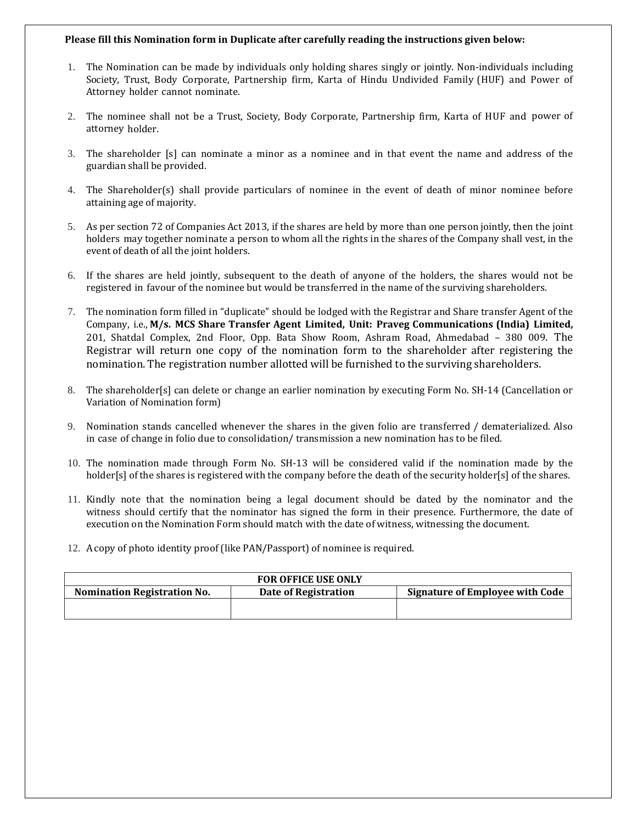#### **Please fill this Nomination form in Duplicate after carefully reading the instructions given below:**

- 1. The Nomination can be made by individuals only holding shares singly or jointly. Non-individuals including Society, Trust, Body Corporate, Partnership firm, Karta of Hindu Undivided Family (HUF) and Power of Attorney holder cannot nominate.
- 2. The nominee shall not be a Trust, Society, Body Corporate, Partnership firm, Karta of HUF and power of attorney holder.
- 3. The shareholder [s] can nominate a minor as a nominee and in that event the name and address of the guardian shall be provided.
- 4. The Shareholder(s) shall provide particulars of nominee in the event of death of minor nominee before attaining age of majority.
- 5. As per section 72 of Companies Act 2013, if the shares are held by more than one person jointly, then the joint holders may together nominate a person to whom all the rights in the shares of the Company shall vest, in the event of death of all the joint holders.
- 6. If the shares are held jointly, subsequent to the death of anyone of the holders, the shares would not be registered in favour of the nominee but would be transferred in the name of the surviving shareholders.
- 7. The nomination form filled in "duplicate" should be lodged with the Registrar and Share transfer Agent of the Company, i.e., **M/s. MCS Share Transfer Agent Limited, Unit: Praveg Communications (India) Limited,** 201, Shatdal Complex, 2nd Floor, Opp. Bata Show Room, Ashram Road, Ahmedabad – 380 009. The Registrar will return one copy of the nomination form to the shareholder after registering the nomination. The registration number allotted will be furnished to the surviving shareholders.
- 8. The shareholder[s] can delete or change an earlier nomination by executing Form No. SH-14 (Cancellation or Variation of Nomination form)
- 9. Nomination stands cancelled whenever the shares in the given folio are transferred / dematerialized. Also in case of change in folio due to consolidation/ transmission a new nomination has to be filed.
- 10. The nomination made through Form No. SH-13 will be considered valid if the nomination made by the holder[s] of the shares is registered with the company before the death of the security holder[s] of the shares.
- 11. Kindly note that the nomination being a legal document should be dated by the nominator and the witness should certify that the nominator has signed the form in their presence. Furthermore, the date of execution on the Nomination Form should match with the date of witness, witnessing the document.
- 12. A copy of photo identity proof (like PAN/Passport) of nominee is required.

|                                    | <b>FOR OFFICE USE ONLY</b> |                                 |
|------------------------------------|----------------------------|---------------------------------|
| <b>Nomination Registration No.</b> | Date of Registration       | Signature of Employee with Code |
|                                    |                            |                                 |
|                                    |                            |                                 |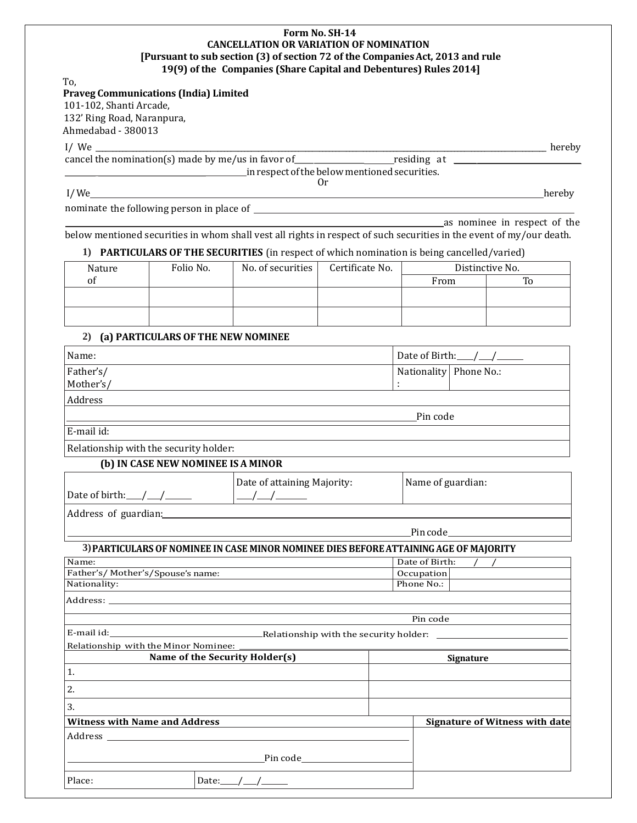#### **Form No. SH-14 CANCELLATION OR VARIATION OF NOMINATION [Pursuant to sub section (3) of section 72 of the CompaniesAct, 2013 and rule 19(9) of the Companies (Share Capital and Debentures) Rules 2014]**

To,

|  | <b>Praveg Communications (India) Limited</b> |  |  |
|--|----------------------------------------------|--|--|
|--|----------------------------------------------|--|--|

101-102, Shanti Arcade, 132' Ring Road, Naranpura, Ahmedabad - 380013

I/ We \_\_\_\_\_\_\_\_\_\_\_\_\_\_\_\_\_\_\_\_\_\_\_\_\_\_\_\_\_\_\_\_\_\_\_\_\_\_\_\_\_\_\_\_\_\_\_\_\_\_\_\_\_\_\_\_\_\_\_\_\_\_\_\_\_\_\_\_\_\_\_\_\_\_\_\_\_\_\_\_\_\_\_\_\_\_\_\_\_\_\_\_\_\_\_\_\_\_\_\_\_\_\_\_\_\_\_\_\_\_\_\_\_\_\_\_\_\_\_\_\_\_\_\_\_\_\_\_\_\_\_\_\_ hereby

cancel the nomination(s) made by me/us in favor of\_\_\_\_\_\_\_\_\_\_\_\_\_\_\_\_\_\_ residing at \_\_\_\_\_\_\_\_\_\_\_\_\_\_\_\_\_\_\_\_\_\_\_\_\_\_\_\_\_\_\_\_\_ \_\_\_\_\_\_\_\_ \_\_\_\_\_\_\_\_\_\_\_\_\_\_\_\_\_\_\_\_\_\_\_\_\_\_\_\_ inrespectofthebelowmentionedsecurities.

Or

l/We hereby has a series of the contract of the contract of the contract of the contract of the contract of the contract of the contract of the contract of the contract of the contract of the contract of the contract of th

**as nominee in respect of the** 

nominate the following person in place of

below mentioned securities in whom shall vest all rights in respect of such securities in the event of my/our death.

### **1) PARTICULARS OF THE SECURITIES** (in respect of which nomination is being cancelled/varied)

| Nature | Folio No. | No. of securities | Certificate No. |      | Distinctive No. |  |
|--------|-----------|-------------------|-----------------|------|-----------------|--|
| ΟÌ     |           |                   |                 | From | To              |  |
|        |           |                   |                 |      |                 |  |
|        |           |                   |                 |      |                 |  |
|        |           |                   |                 |      |                 |  |

### **2) (a) PARTICULARS OF THE NEW NOMINEE**

| Name:                                                                                                          |                                                                                       | Date of Birth: / /     |  |  |
|----------------------------------------------------------------------------------------------------------------|---------------------------------------------------------------------------------------|------------------------|--|--|
| Father's/                                                                                                      |                                                                                       | Nationality Phone No.: |  |  |
| Mother's/                                                                                                      |                                                                                       |                        |  |  |
| Address                                                                                                        |                                                                                       |                        |  |  |
|                                                                                                                |                                                                                       | Pin code               |  |  |
| E-mail id:                                                                                                     |                                                                                       |                        |  |  |
| Relationship with the security holder:                                                                         |                                                                                       |                        |  |  |
| (b) IN CASE NEW NOMINEE IS A MINOR                                                                             |                                                                                       |                        |  |  |
|                                                                                                                | Date of attaining Majority:                                                           | Name of guardian:      |  |  |
| Date of birth: $\angle$                                                                                        | $\frac{\frac{1}{2}}{\frac{1}{2}}$                                                     |                        |  |  |
| Address of guardian: Manual Manual Manual Manual Manual Manual Manual Manual Manual Manual Manual Manual Manua |                                                                                       |                        |  |  |
|                                                                                                                |                                                                                       |                        |  |  |
|                                                                                                                | 3) PARTICULARS OF NOMINEE IN CASE MINOR NOMINEE DIES BEFORE ATTAINING AGE OF MAJORITY |                        |  |  |
| Name:                                                                                                          |                                                                                       | Date of Birth:         |  |  |

| Father's/Mother's/Spouse's name:     | <i>Occupation</i>                                                                                                    |          |                                       |
|--------------------------------------|----------------------------------------------------------------------------------------------------------------------|----------|---------------------------------------|
| Nationality:                         | <u> 1989 - Andrea Santa Andrea Andrea Andrea Andrea Andrea Andrea Andrea Andrea Andrea Andrea Andrea Andrea Andr</u> |          | Phone No.:                            |
|                                      |                                                                                                                      |          |                                       |
|                                      |                                                                                                                      |          |                                       |
|                                      |                                                                                                                      | Pin code |                                       |
|                                      |                                                                                                                      |          |                                       |
|                                      |                                                                                                                      |          |                                       |
|                                      | Name of the Security Holder(s)                                                                                       |          | Signature                             |
| 1.                                   |                                                                                                                      |          |                                       |
| 2.                                   |                                                                                                                      |          |                                       |
| 3.                                   |                                                                                                                      |          |                                       |
| <b>Witness with Name and Address</b> |                                                                                                                      |          | <b>Signature of Witness with date</b> |
|                                      |                                                                                                                      |          |                                       |
|                                      |                                                                                                                      |          |                                       |
| Place:                               | Date: $\_\_\_\_\_\_\_\_\_\_\_\_\_\_\_\_\_\_\_\_\_$                                                                   |          |                                       |